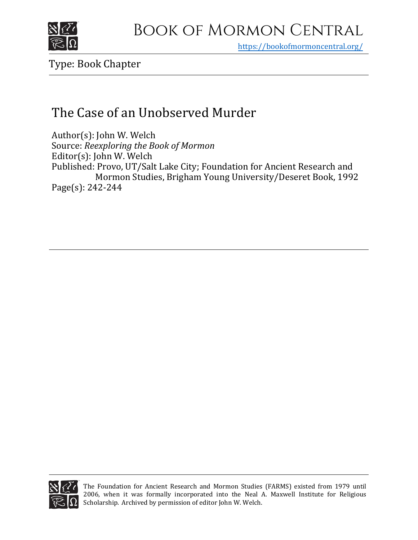

https[://bookofmormoncentral.org/](https://bookofmormoncentral.org/)

Type: Book Chapter

## The Case of an Unobserved Murder

Author(s): John W. Welch Source: *Reexploring the Book of Mormon*  Editor(s): John W. Welch Published: Provo, UT/Salt Lake City; Foundation for Ancient Research and Mormon Studies, Brigham Young University/Deseret Book, 1992 Page(s): 242-244



The Foundation for Ancient Research and Mormon Studies (FARMS) existed from 1979 until 2006, when it was formally incorporated into the Neal A. Maxwell Institute for Religious Scholarship. Archived by permission of editor John W. Welch.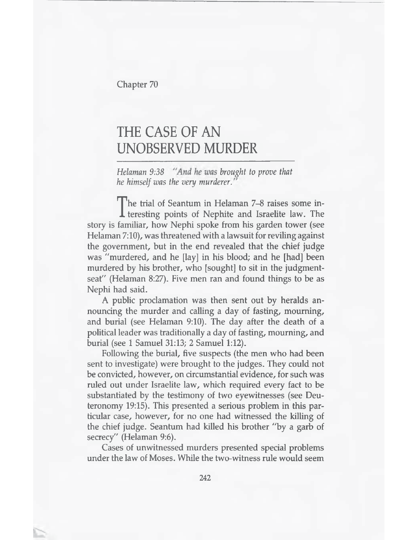**Chapter 70**

## THE CASE OF AN UNOBSERVED MURDER

*Helaman 9:38 "And he was brought to prove that he himself was the very murderer.*

**The trial of Seantum in Helaman 7–8 raises some in-<br>teresting points of Nephite and Israelite law. The<br>familiar, how Nephi spoke from his garden tower (see** teresting points of Nephite and Israelite law. The story is familiar, how Nephi spoke from his garden tower (see Helaman 7:10), was threatened with a lawsuit for reviling against the government, but in the end revealed that the chief judge was "murdered, and he [lay] in his blood; and he [had] been murdered by his brother, who [sought] to sit in the judgmentseat" (Helaman 8:27). Five men ran and found things to be as Nephi had said.

A public proclamation was then sent out by heralds announcing the murder and calling a day of fasting, mourning, and burial (see Helaman 9:10). The day after the death of a political leader was traditionally a day of fasting, mourning, and burial (see 1 Samuel 31:13; 2 Samuel 1:12).

Following the burial, five suspects (the men who had been sent to investigate) were brought to the judges. They could not be convicted, however, on circumstantial evidence, for such was ruled out under Israelite law, which required every fact to be substantiated by the testimony of two eyewitnesses (see Deuteronomy 19:15). This presented a serious problem in this particular case, however, for no one had witnessed the killing of the chief judge. Seantum had killed his brother "by a garb of secrecy" (Helaman 9:6).

Cases of unwitnessed murders presented special problems under the law of Moses. While the two-witness rule would seem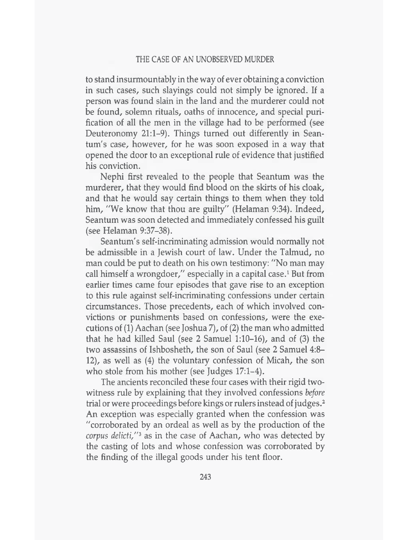to stand insurmountably in the way of ever obtaining a conviction in such cases, such slayings could not simply be ignored. If a person was found slain in the land and the murderer could not be found, solemn rituals, oaths of innocence, and special purification of all the men in the village had to be performed (see Deuteronomy 21:1-9). Things turned out differently in Seantum's case, however, for he was soon exposed in a way that opened the door to an exceptional rule of evidence that justified his conviction.

Nephi first revealed to the people that Seantum was the murderer, that they would find blood on the skirts of his cloak, and that he would say certain things to them when they told him, "We know that thou are guilty" (Helaman 9:34). Indeed, Seantum was soon detected and immediately confessed his guilt (see Helaman 9:37-38).

Seantum's self-incriminating admission would normally not be admissible in a Jewish court of law. Under the Talmud, no man could be put to death on his own testimony: "No man may call himself a wrongdoer," especially in a capital case.1 But from earlier times came four episodes that gave rise to an exception to this rule against self-incriminating confessions under certain circumstances. Those precedents, each of which involved convictions or punishments based on confessions, were the executions of (1) Aachan (see Joshua 7), of (2) the man who admitted that he had killed Saul (see 2 Samuel 1:10-16), and of (3) the two assassins of Ishbosheth, the son of Saul (see 2 Samuel 4:8- 12), as well as (4) the voluntary confession of Micah, the son who stole from his mother (see Judges 17:1–4).

The ancients reconciled these four cases with their rigid twowitness rule by explaining that they involved confessions *before* trial or were proceedings before kings or rulers instead of judges.2 An exception was especially granted when the confession was "corroborated by an ordeal as well as by the production of the *corpus delicti/'3* as in the case of Aachan, who was detected by the casting of lots and whose confession was corroborated by the finding of the illegal goods under his tent floor.